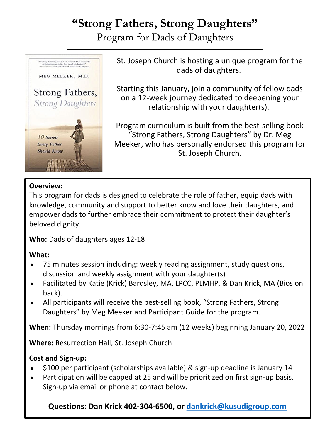## **"Strong Fathers, Strong Daughters"**

Program for Dads of Daughters



St. Joseph Church is hosting a unique program for the dads of daughters.

Starting this January, join a community of fellow dads on a 12-week journey dedicated to deepening your relationship with your daughter(s).

Program curriculum is built from the best-selling book "Strong Fathers, Strong Daughters" by Dr. Meg Meeker, who has personally endorsed this program for St. Joseph Church.

### **Overview:**

This program for dads is designed to celebrate the role of father, equip dads with knowledge, community and support to better know and love their daughters, and empower dads to further embrace their commitment to protect their daughter's beloved dignity.

**Who:** Dads of daughters ages 12-18

### **What:**

- 75 minutes session including: weekly reading assignment, study questions, discussion and weekly assignment with your daughter(s)
- Facilitated by Katie (Krick) Bardsley, MA, LPCC, PLMHP, & Dan Krick, MA (Bios on back).
- All participants will receive the best-selling book, "Strong Fathers, Strong Daughters" by Meg Meeker and Participant Guide for the program.

**When:** Thursday mornings from 6:30-7:45 am (12 weeks) beginning January 20, 2022

**Where:** Resurrection Hall, St. Joseph Church

### **Cost and Sign-up:**

- \$100 per participant (scholarships available) & sign-up deadline is January 14
- Participation will be capped at 25 and will be prioritized on first sign-up basis. Sign-up via email or phone at contact below.

**Questions: Dan Krick 402-304-6500, or [dankrick@kusudigroup.com](mailto:dankrick@kusudigroup.com)**